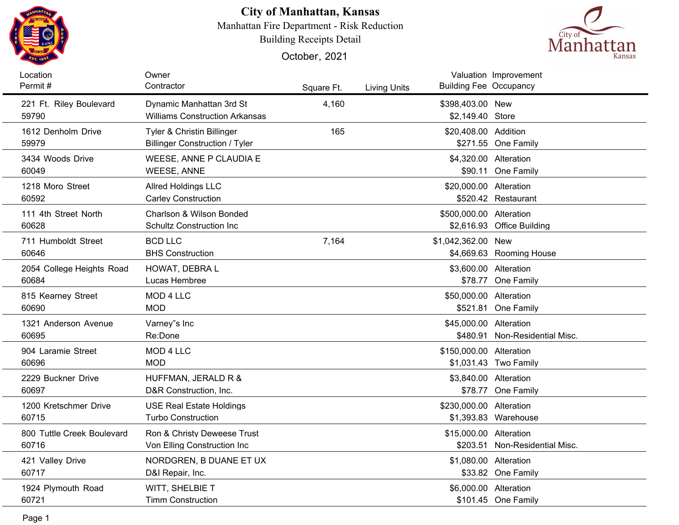

## **City of Manhattan, Kansas**

Manhattan Fire Department - Risk Reduction

Building Receipts Detail

October, 2021



| Location<br>Permit#                 | Owner<br>Contractor                                                            | Square Ft. | <b>Living Units</b> | <b>Building Fee Occupancy</b>        | Valuation Improvement          |
|-------------------------------------|--------------------------------------------------------------------------------|------------|---------------------|--------------------------------------|--------------------------------|
| 221 Ft. Riley Boulevard<br>59790    | Dynamic Manhattan 3rd St<br><b>Williams Construction Arkansas</b>              | 4,160      |                     | \$398,403.00 New<br>\$2,149.40 Store |                                |
| 1612 Denholm Drive<br>59979         | <b>Tyler &amp; Christin Billinger</b><br><b>Billinger Construction / Tyler</b> | 165        |                     | \$20,408.00 Addition                 | \$271.55 One Family            |
| 3434 Woods Drive<br>60049           | WEESE, ANNE P CLAUDIA E<br><b>WEESE, ANNE</b>                                  |            |                     | \$4,320.00 Alteration                | \$90.11 One Family             |
| 1218 Moro Street<br>60592           | Allred Holdings LLC<br><b>Carley Construction</b>                              |            |                     | \$20,000.00 Alteration               | \$520.42 Restaurant            |
| 111 4th Street North<br>60628       | <b>Charlson &amp; Wilson Bonded</b><br><b>Schultz Construction Inc</b>         |            |                     | \$500,000.00 Alteration              | \$2,616.93 Office Building     |
| 711 Humboldt Street<br>60646        | <b>BCD LLC</b><br><b>BHS Construction</b>                                      | 7,164      |                     | \$1,042,362.00 New                   | \$4,669.63 Rooming House       |
| 2054 College Heights Road<br>60684  | HOWAT, DEBRA L<br>Lucas Hembree                                                |            |                     | \$3,600.00 Alteration                | \$78.77 One Family             |
| 815 Kearney Street<br>60690         | MOD 4 LLC<br><b>MOD</b>                                                        |            |                     | \$50,000.00 Alteration               | \$521.81 One Family            |
| 1321 Anderson Avenue<br>60695       | Varney"s Inc<br>Re:Done                                                        |            |                     | \$45,000.00 Alteration               | \$480.91 Non-Residential Misc. |
| 904 Laramie Street<br>60696         | MOD 4 LLC<br><b>MOD</b>                                                        |            |                     | \$150,000.00 Alteration              | \$1,031.43 Two Family          |
| 2229 Buckner Drive<br>60697         | HUFFMAN, JERALD R &<br>D&R Construction, Inc.                                  |            |                     | \$3,840.00 Alteration                | \$78.77 One Family             |
| 1200 Kretschmer Drive<br>60715      | USE Real Estate Holdings<br><b>Turbo Construction</b>                          |            |                     | \$230,000.00 Alteration              | \$1,393.83 Warehouse           |
| 800 Tuttle Creek Boulevard<br>60716 | Ron & Christy Deweese Trust<br>Von Elling Construction Inc                     |            |                     | \$15,000.00 Alteration               | \$203.51 Non-Residential Misc. |
| 421 Valley Drive<br>60717           | NORDGREN, B DUANE ET UX<br>D&I Repair, Inc.                                    |            |                     | \$1,080.00 Alteration                | \$33.82 One Family             |
| 1924 Plymouth Road<br>60721         | WITT, SHELBIE T<br><b>Timm Construction</b>                                    |            |                     | \$6,000.00 Alteration                | \$101.45 One Family            |
|                                     |                                                                                |            |                     |                                      |                                |